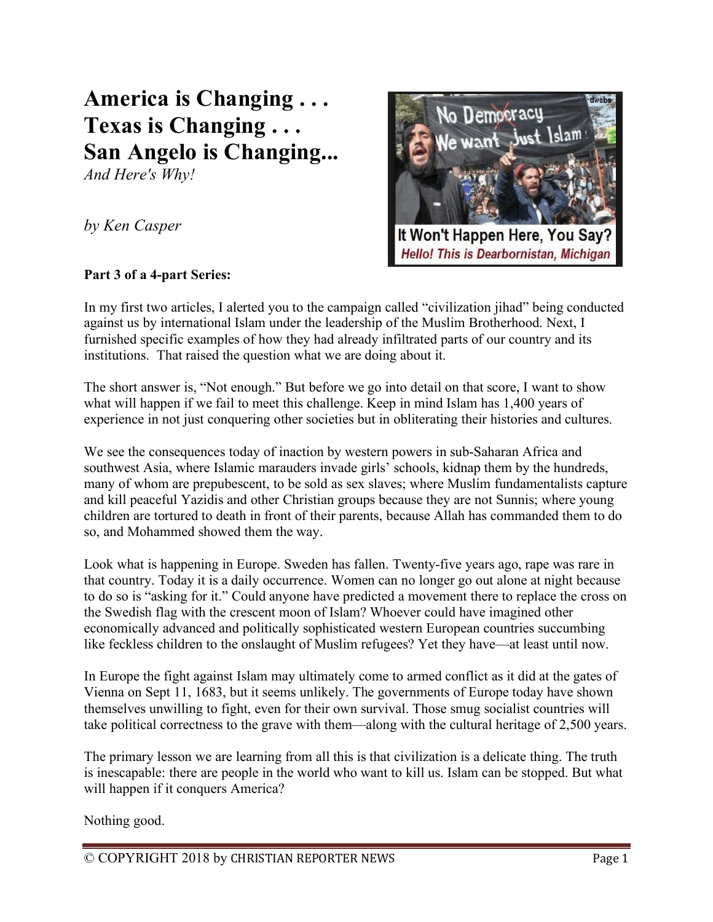## **America is Changing . . . Texas is Changing . . . San Angelo is Changing...**

*And Here's Why!*

*by Ken Casper*

## **Part 3 of a 4-part Series:**



In my first two articles, I alerted you to the campaign called "civilization jihad" being conducted against us by international Islam under the leadership of the Muslim Brotherhood. Next, I furnished specific examples of how they had already infiltrated parts of our country and its institutions. That raised the question what we are doing about it.

The short answer is, "Not enough." But before we go into detail on that score, I want to show what will happen if we fail to meet this challenge. Keep in mind Islam has 1,400 years of experience in not just conquering other societies but in obliterating their histories and cultures.

We see the consequences today of inaction by western powers in sub-Saharan Africa and southwest Asia, where Islamic marauders invade girls' schools, kidnap them by the hundreds, many of whom are prepubescent, to be sold as sex slaves; where Muslim fundamentalists capture and kill peaceful Yazidis and other Christian groups because they are not Sunnis; where young children are tortured to death in front of their parents, because Allah has commanded them to do so, and Mohammed showed them the way.

Look what is happening in Europe. Sweden has fallen. Twenty-five years ago, rape was rare in that country. Today it is a daily occurrence. Women can no longer go out alone at night because to do so is "asking for it." Could anyone have predicted a movement there to replace the cross on the Swedish flag with the crescent moon of Islam? Whoever could have imagined other economically advanced and politically sophisticated western European countries succumbing like feckless children to the onslaught of Muslim refugees? Yet they have—at least until now.

In Europe the fight against Islam may ultimately come to armed conflict as it did at the gates of Vienna on Sept 11, 1683, but it seems unlikely. The governments of Europe today have shown themselves unwilling to fight, even for their own survival. Those smug socialist countries will take political correctness to the grave with them—along with the cultural heritage of 2,500 years.

The primary lesson we are learning from all this is that civilization is a delicate thing. The truth is inescapable: there are people in the world who want to kill us. Islam can be stopped. But what will happen if it conquers America?

Nothing good.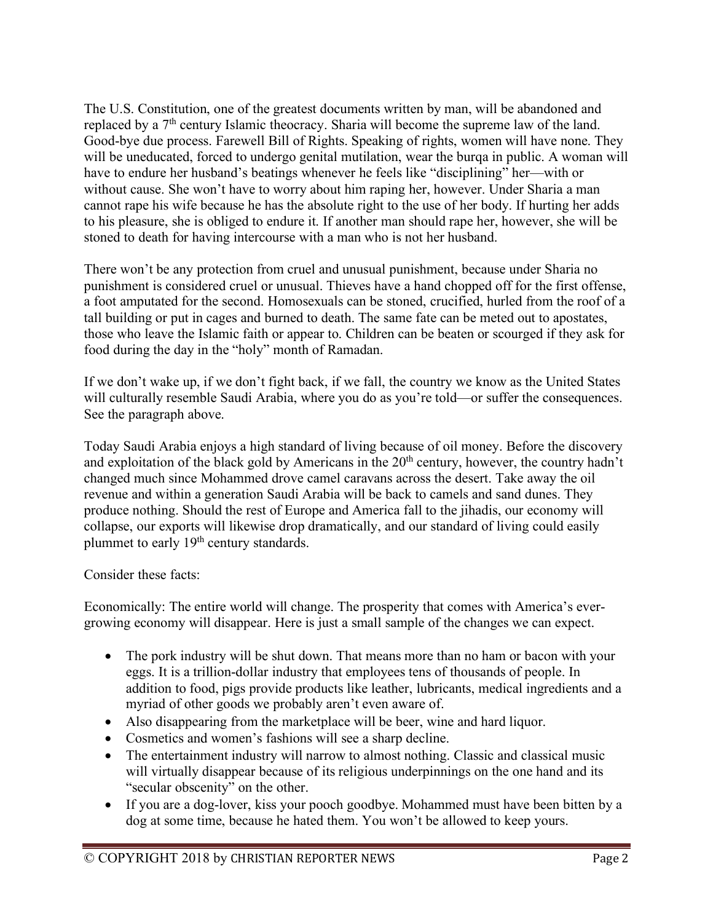The U.S. Constitution, one of the greatest documents written by man, will be abandoned and replaced by a 7<sup>th</sup> century Islamic theocracy. Sharia will become the supreme law of the land. Good-bye due process. Farewell Bill of Rights. Speaking of rights, women will have none. They will be uneducated, forced to undergo genital mutilation, wear the burqa in public. A woman will have to endure her husband's beatings whenever he feels like "disciplining" her—with or without cause. She won't have to worry about him raping her, however. Under Sharia a man cannot rape his wife because he has the absolute right to the use of her body. If hurting her adds to his pleasure, she is obliged to endure it. If another man should rape her, however, she will be stoned to death for having intercourse with a man who is not her husband.

There won't be any protection from cruel and unusual punishment, because under Sharia no punishment is considered cruel or unusual. Thieves have a hand chopped off for the first offense, a foot amputated for the second. Homosexuals can be stoned, crucified, hurled from the roof of a tall building or put in cages and burned to death. The same fate can be meted out to apostates, those who leave the Islamic faith or appear to. Children can be beaten or scourged if they ask for food during the day in the "holy" month of Ramadan.

If we don't wake up, if we don't fight back, if we fall, the country we know as the United States will culturally resemble Saudi Arabia, where you do as you're told—or suffer the consequences. See the paragraph above.

Today Saudi Arabia enjoys a high standard of living because of oil money. Before the discovery and exploitation of the black gold by Americans in the 20<sup>th</sup> century, however, the country hadn't changed much since Mohammed drove camel caravans across the desert. Take away the oil revenue and within a generation Saudi Arabia will be back to camels and sand dunes. They produce nothing. Should the rest of Europe and America fall to the jihadis, our economy will collapse, our exports will likewise drop dramatically, and our standard of living could easily plummet to early 19th century standards.

Consider these facts:

Economically: The entire world will change. The prosperity that comes with America's evergrowing economy will disappear. Here is just a small sample of the changes we can expect.

- The pork industry will be shut down. That means more than no ham or bacon with your eggs. It is a trillion-dollar industry that employees tens of thousands of people. In addition to food, pigs provide products like leather, lubricants, medical ingredients and a myriad of other goods we probably aren't even aware of.
- Also disappearing from the marketplace will be beer, wine and hard liquor.
- Cosmetics and women's fashions will see a sharp decline.
- The entertainment industry will narrow to almost nothing. Classic and classical music will virtually disappear because of its religious underpinnings on the one hand and its "secular obscenity" on the other.
- If you are a dog-lover, kiss your pooch goodbye. Mohammed must have been bitten by a dog at some time, because he hated them. You won't be allowed to keep yours.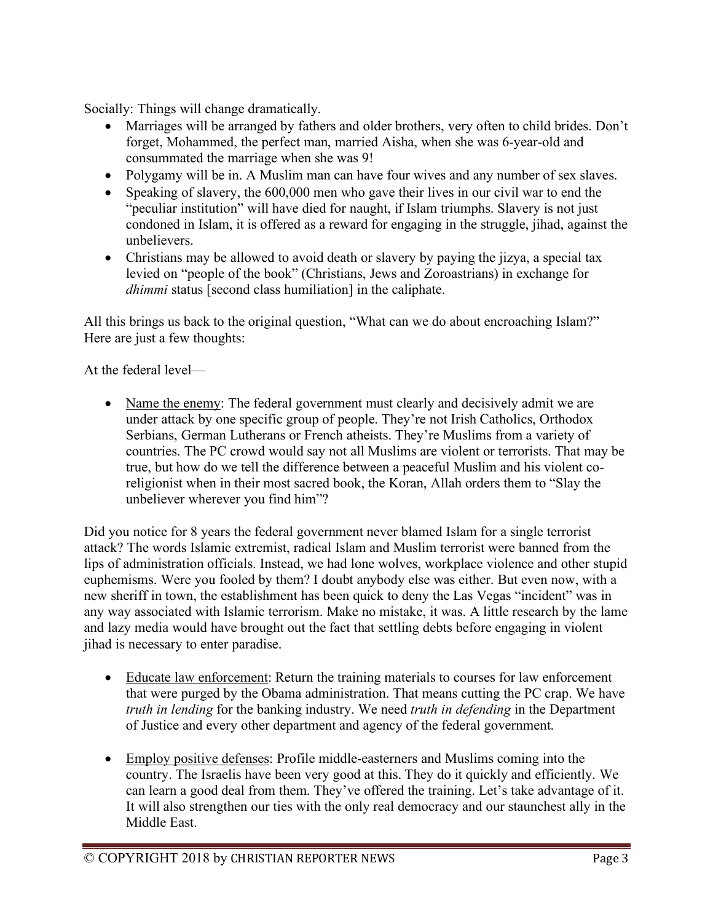Socially: Things will change dramatically.

- Marriages will be arranged by fathers and older brothers, very often to child brides. Don't forget, Mohammed, the perfect man, married Aisha, when she was 6-year-old and consummated the marriage when she was 9!
- Polygamy will be in. A Muslim man can have four wives and any number of sex slaves.
- Speaking of slavery, the 600,000 men who gave their lives in our civil war to end the "peculiar institution" will have died for naught, if Islam triumphs. Slavery is not just condoned in Islam, it is offered as a reward for engaging in the struggle, jihad, against the unbelievers.
- Christians may be allowed to avoid death or slavery by paying the jizya, a special tax levied on "people of the book" (Christians, Jews and Zoroastrians) in exchange for *dhimmi* status [second class humiliation] in the caliphate.

All this brings us back to the original question, "What can we do about encroaching Islam?" Here are just a few thoughts:

At the federal level—

• Name the enemy: The federal government must clearly and decisively admit we are under attack by one specific group of people. They're not Irish Catholics, Orthodox Serbians, German Lutherans or French atheists. They're Muslims from a variety of countries. The PC crowd would say not all Muslims are violent or terrorists. That may be true, but how do we tell the difference between a peaceful Muslim and his violent coreligionist when in their most sacred book, the Koran, Allah orders them to "Slay the unbeliever wherever you find him"?

Did you notice for 8 years the federal government never blamed Islam for a single terrorist attack? The words Islamic extremist, radical Islam and Muslim terrorist were banned from the lips of administration officials. Instead, we had lone wolves, workplace violence and other stupid euphemisms. Were you fooled by them? I doubt anybody else was either. But even now, with a new sheriff in town, the establishment has been quick to deny the Las Vegas "incident" was in any way associated with Islamic terrorism. Make no mistake, it was. A little research by the lame and lazy media would have brought out the fact that settling debts before engaging in violent jihad is necessary to enter paradise.

- Educate law enforcement: Return the training materials to courses for law enforcement that were purged by the Obama administration. That means cutting the PC crap. We have *truth in lending* for the banking industry. We need *truth in defending* in the Department of Justice and every other department and agency of the federal government.
- Employ positive defenses: Profile middle-easterners and Muslims coming into the country. The Israelis have been very good at this. They do it quickly and efficiently. We can learn a good deal from them. They've offered the training. Let's take advantage of it. It will also strengthen our ties with the only real democracy and our staunchest ally in the Middle East.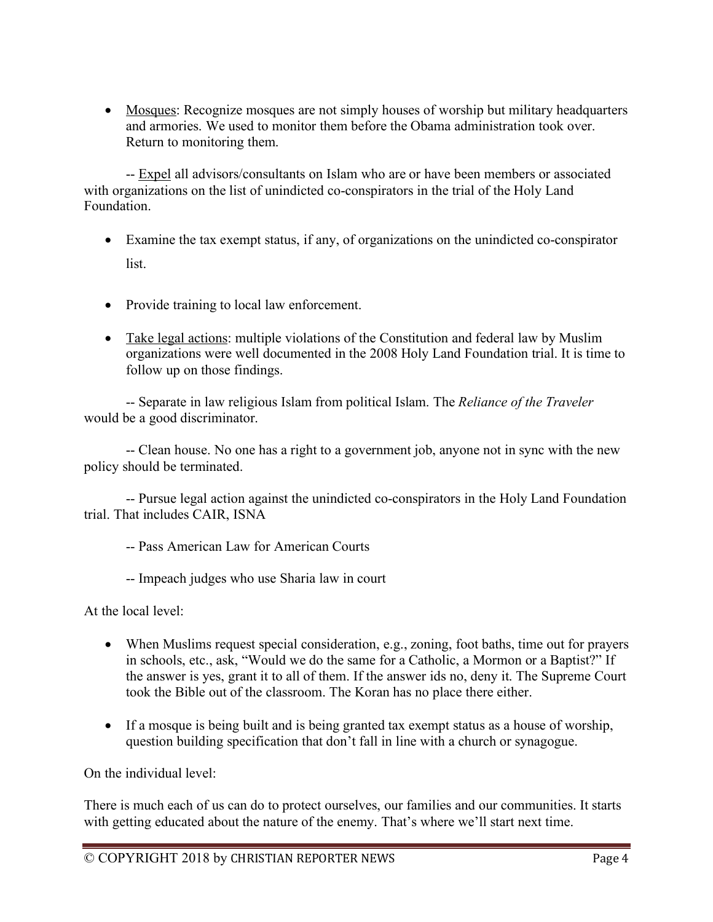• Mosques: Recognize mosques are not simply houses of worship but military headquarters and armories. We used to monitor them before the Obama administration took over. Return to monitoring them.

-- Expel all advisors/consultants on Islam who are or have been members or associated with organizations on the list of unindicted co-conspirators in the trial of the Holy Land Foundation.

- Examine the tax exempt status, if any, of organizations on the unindicted co-conspirator list.
- Provide training to local law enforcement.
- Take legal actions: multiple violations of the Constitution and federal law by Muslim organizations were well documented in the 2008 Holy Land Foundation trial. It is time to follow up on those findings.

-- Separate in law religious Islam from political Islam. The *Reliance of the Traveler* would be a good discriminator.

-- Clean house. No one has a right to a government job, anyone not in sync with the new policy should be terminated.

-- Pursue legal action against the unindicted co-conspirators in the Holy Land Foundation trial. That includes CAIR, ISNA

-- Pass American Law for American Courts

-- Impeach judges who use Sharia law in court

At the local level:

- When Muslims request special consideration, e.g., zoning, foot baths, time out for prayers in schools, etc., ask, "Would we do the same for a Catholic, a Mormon or a Baptist?" If the answer is yes, grant it to all of them. If the answer ids no, deny it. The Supreme Court took the Bible out of the classroom. The Koran has no place there either.
- If a mosque is being built and is being granted tax exempt status as a house of worship, question building specification that don't fall in line with a church or synagogue.

On the individual level:

There is much each of us can do to protect ourselves, our families and our communities. It starts with getting educated about the nature of the enemy. That's where we'll start next time.